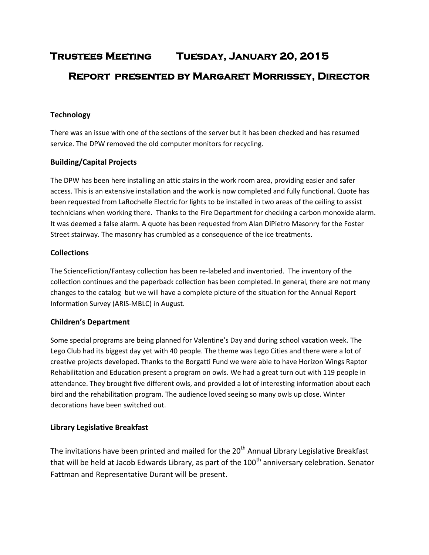# **Trustees Meeting Tuesday, January 20, 2015 Report presented by Margaret Morrissey, Director**

# **Technology**

There was an issue with one of the sections of the server but it has been checked and has resumed service. The DPW removed the old computer monitors for recycling.

# **Building/Capital Projects**

The DPW has been here installing an attic stairs in the work room area, providing easier and safer access. This is an extensive installation and the work is now completed and fully functional. Quote has been requested from LaRochelle Electric for lights to be installed in two areas of the ceiling to assist technicians when working there. Thanks to the Fire Department for checking a carbon monoxide alarm. It was deemed a false alarm. A quote has been requested from Alan DiPietro Masonry for the Foster Street stairway. The masonry has crumbled as a consequence of the ice treatments.

# **Collections**

The ScienceFiction/Fantasy collection has been re-labeled and inventoried. The inventory of the collection continues and the paperback collection has been completed. In general, there are not many changes to the catalog but we will have a complete picture of the situation for the Annual Report Information Survey (ARIS-MBLC) in August.

# **Children's Department**

Some special programs are being planned for Valentine's Day and during school vacation week. The Lego Club had its biggest day yet with 40 people. The theme was Lego Cities and there were a lot of creative projects developed. Thanks to the Borgatti Fund we were able to have Horizon Wings Raptor Rehabilitation and Education present a program on owls. We had a great turn out with 119 people in attendance. They brought five different owls, and provided a lot of interesting information about each bird and the rehabilitation program. The audience loved seeing so many owls up close. Winter decorations have been switched out.

# **Library Legislative Breakfast**

The invitations have been printed and mailed for the 20<sup>th</sup> Annual Library Legislative Breakfast that will be held at Jacob Edwards Library, as part of the 100<sup>th</sup> anniversary celebration. Senator Fattman and Representative Durant will be present.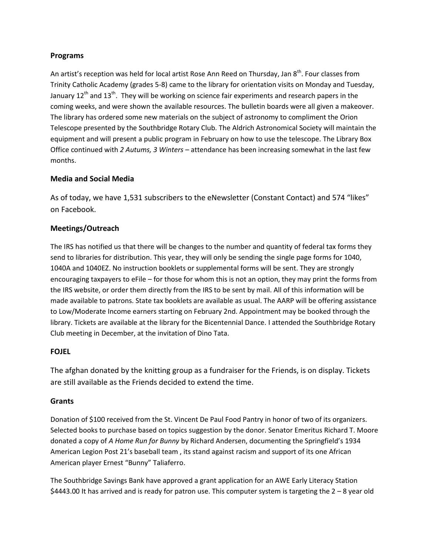### **Programs**

An artist's reception was held for local artist Rose Ann Reed on Thursday, Jan 8<sup>th</sup>. Four classes from Trinity Catholic Academy (grades 5-8) came to the library for orientation visits on Monday and Tuesday, January 12<sup>th</sup> and 13<sup>th</sup>. They will be working on science fair experiments and research papers in the coming weeks, and were shown the available resources. The bulletin boards were all given a makeover. The library has ordered some new materials on the subject of astronomy to compliment the Orion Telescope presented by the Southbridge Rotary Club. The Aldrich Astronomical Society will maintain the equipment and will present a public program in February on how to use the telescope. The Library Box Office continued with *2 Autums, 3 Winters* – attendance has been increasing somewhat in the last few months.

# **Media and Social Media**

As of today, we have 1,531 subscribers to the eNewsletter (Constant Contact) and 574 "likes" on Facebook.

# **Meetings/Outreach**

The IRS has notified us that there will be changes to the number and quantity of federal tax forms they send to libraries for distribution. This year, they will only be sending the single page forms for 1040, 1040A and 1040EZ. No instruction booklets or supplemental forms will be sent. They are strongly encouraging taxpayers to eFile – for those for whom this is not an option, they may print the forms from the IRS website, or order them directly from the IRS to be sent by mail. All of this information will be made available to patrons. State tax booklets are available as usual. The AARP will be offering assistance to Low/Moderate Income earners starting on February 2nd. Appointment may be booked through the library. Tickets are available at the library for the Bicentennial Dance. I attended the Southbridge Rotary Club meeting in December, at the invitation of Dino Tata.

#### **FOJEL**

The afghan donated by the knitting group as a fundraiser for the Friends, is on display. Tickets are still available as the Friends decided to extend the time.

#### **Grants**

Donation of \$100 received from the St. Vincent De Paul Food Pantry in honor of two of its organizers. Selected books to purchase based on topics suggestion by the donor. Senator Emeritus Richard T. Moore donated a copy of *A Home Run for Bunny* by Richard Andersen, documenting the Springfield's 1934 American Legion Post 21's baseball team , its stand against racism and support of its one African American player Ernest "Bunny" Taliaferro.

The Southbridge Savings Bank have approved a grant application for an AWE Early Literacy Station \$4443.00 It has arrived and is ready for patron use. This computer system is targeting the 2 – 8 year old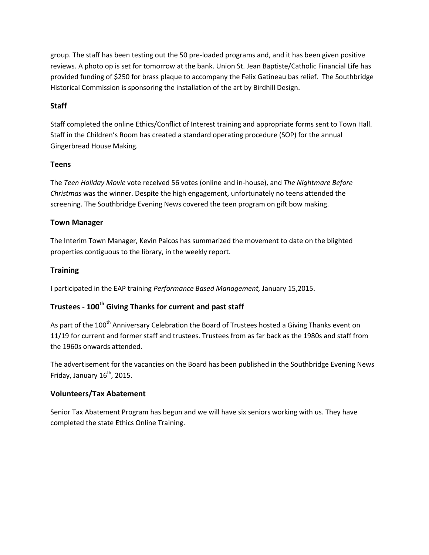group. The staff has been testing out the 50 pre-loaded programs and, and it has been given positive reviews. A photo op is set for tomorrow at the bank. Union St. Jean Baptiste/Catholic Financial Life has provided funding of \$250 for brass plaque to accompany the Felix Gatineau bas relief. The Southbridge Historical Commission is sponsoring the installation of the art by Birdhill Design.

# **Staff**

Staff completed the online Ethics/Conflict of Interest training and appropriate forms sent to Town Hall. Staff in the Children's Room has created a standard operating procedure (SOP) for the annual Gingerbread House Making.

# **Teens**

The *Teen Holiday Movie* vote received 56 votes (online and in-house), and *The Nightmare Before Christmas* was the winner. Despite the high engagement, unfortunately no teens attended the screening. The Southbridge Evening News covered the teen program on gift bow making.

# **Town Manager**

The Interim Town Manager, Kevin Paicos has summarized the movement to date on the blighted properties contiguous to the library, in the weekly report.

# **Training**

I participated in the EAP training *Performance Based Management,* January 15,2015.

# **Trustees - 100th Giving Thanks for current and past staff**

As part of the 100<sup>th</sup> Anniversary Celebration the Board of Trustees hosted a Giving Thanks event on 11/19 for current and former staff and trustees. Trustees from as far back as the 1980s and staff from the 1960s onwards attended.

The advertisement for the vacancies on the Board has been published in the Southbridge Evening News Friday, January  $16^{th}$ , 2015.

# **Volunteers/Tax Abatement**

Senior Tax Abatement Program has begun and we will have six seniors working with us. They have completed the state Ethics Online Training.